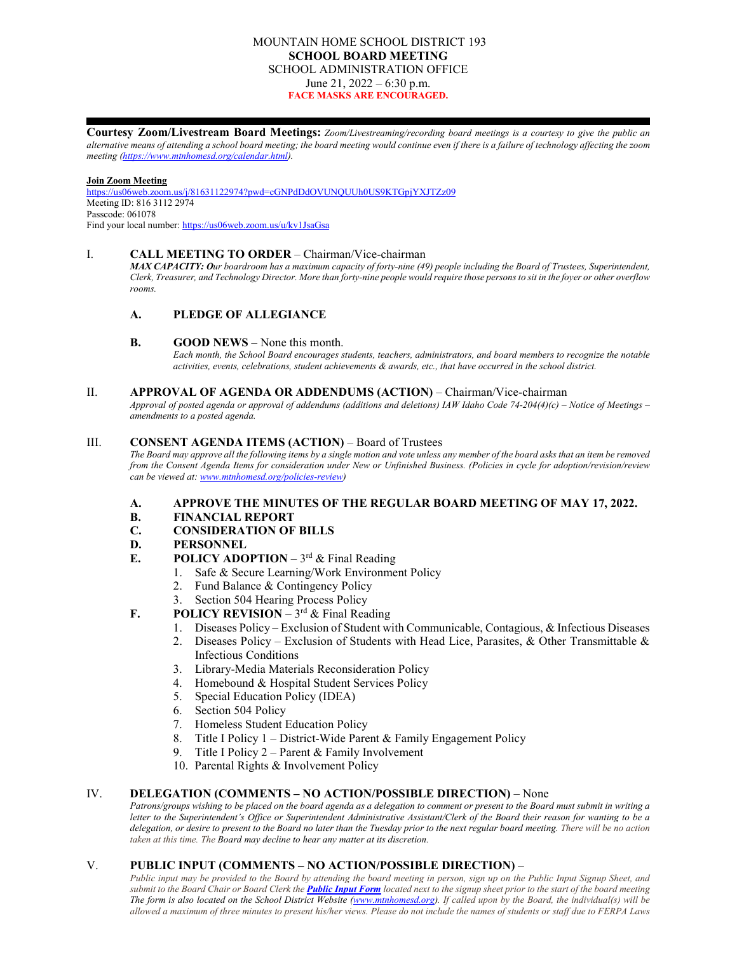# MOUNTAIN HOME SCHOOL DISTRICT 193 **SCHOOL BOARD MEETING** SCHOOL ADMINISTRATION OFFICE June 21,  $2022 - 6:30$  p.m. **FACE MASKS ARE ENCOURAGED.**

**Courtesy Zoom/Livestream Board Meetings:** *Zoom/Livestreaming/recording board meetings is a courtesy to give the public an alternative means of attending a school board meeting; the board meeting would continue even if there is a failure of technology affecting the zoom meeting [\(https://www.mtnhomesd.org/calendar.html\)](https://www.mtnhomesd.org/calendar.html).*

**Join Zoom Meeting** [https://us06web.zoom.us/j/81631122974?pwd=cGNPdDdOVUNQUUh0US9KTGpjYXJTZz09](https://www.google.com/url?q=https://us06web.zoom.us/j/81631122974?pwd%3DcGNPdDdOVUNQUUh0US9KTGpjYXJTZz09&sa=D&source=calendar&ust=1653156977638385&usg=AOvVaw3FqFWs6zOvwrESJoO0Tw1H) Meeting ID: 816 3112 2974 Passcode: 061078 Find your local number: [https://us06web.zoom.us/u/kv1JsaGsa](https://www.google.com/url?q=https://us06web.zoom.us/u/kv1JsaGsa&sa=D&source=calendar&ust=1653156977638385&usg=AOvVaw2InHSS2mqxRU7tsSkdnfhS)

#### I. **CALL MEETING TO ORDER** – Chairman/Vice-chairman

*MAX CAPACITY: Our boardroom has a maximum capacity of forty-nine (49) people including the Board of Trustees, Superintendent, Clerk, Treasurer, and Technology Director. More than forty-nine people would require those persons to sit in the foyer or other overflow rooms.*

# **A. PLEDGE OF ALLEGIANCE**

#### **B. GOOD NEWS** – None this month.

*Each month, the School Board encourages students, teachers, administrators, and board members to recognize the notable activities, events, celebrations, student achievements & awards, etc., that have occurred in the school district.*

#### II. **APPROVAL OF AGENDA OR ADDENDUMS (ACTION)** – Chairman/Vice-chairman

*Approval of posted agenda or approval of addendums (additions and deletions) IAW Idaho Code 74-204(4)(c) – Notice of Meetings – amendments to a posted agenda.*

# III. **CONSENT AGENDA ITEMS (ACTION)** – Board of Trustees

*The Board may approve all the following items by a single motion and vote unless any member of the board asks that an item be removed from the Consent Agenda Items for consideration under New or Unfinished Business. (Policies in cycle for adoption/revision/review can be viewed at: [www.mtnhomesd.org/policies-review\)](http://www.mtnhomesd.org/policies-review)*

- **A. APPROVE THE MINUTES OF THE REGULAR BOARD MEETING OF MAY 17, 2022.**
- **B. FINANCIAL REPORT**
- **C. CONSIDERATION OF BILLS**

#### **D. PERSONNEL**

- **E. POLICY ADOPTION**  $3^{rd}$  & Final Reading
	- 1. Safe & Secure Learning/Work Environment Policy
	- 2. Fund Balance & Contingency Policy
	- 3. Section 504 Hearing Process Policy
- **F. POLICY REVISION**  $3^{rd}$  & Final Reading
	- 1. Diseases Policy Exclusion of Student with Communicable, Contagious, & Infectious Diseases
		- 2. Diseases Policy Exclusion of Students with Head Lice, Parasites, & Other Transmittable & Infectious Conditions
		- 3. Library-Media Materials Reconsideration Policy
		- 4. Homebound & Hospital Student Services Policy
		- 5. Special Education Policy (IDEA)
		- 6. Section 504 Policy
		- 7. Homeless Student Education Policy
		- 8. Title I Policy 1 District-Wide Parent & Family Engagement Policy
		- 9. Title I Policy 2 Parent & Family Involvement
		- 10. Parental Rights & Involvement Policy

## IV. **DELEGATION (COMMENTS – NO ACTION/POSSIBLE DIRECTION)** – None

*Patrons/groups wishing to be placed on the board agenda as a delegation to comment or present to the Board must submit in writing a letter to the Superintendent's Office or Superintendent Administrative Assistant/Clerk of the Board their reason for wanting to be a delegation, or desire to present to the Board no later than the Tuesday prior to the next regular board meeting. There will be no action taken at this time. The Board may decline to hear any matter at its discretion.*

# V. **PUBLIC INPUT (COMMENTS – NO ACTION/POSSIBLE DIRECTION)** –

*Public input may be provided to the Board by attending the board meeting in person, sign up on the Public Input Signup Sheet, and submit to the Board Chair or Board Clerk the [Public Input Form](https://www.mtnhomesd.org/public-input-form.html) located next to the signup sheet prior to the start of the board meeting The form is also located on the School District Website [\(www.mtnhomesd.org\)](http://www.mtnhomesd.org/). If called upon by the Board, the individual(s) will be allowed a maximum of three minutes to present his/her views. Please do not include the names of students or staff due to FERPA Laws*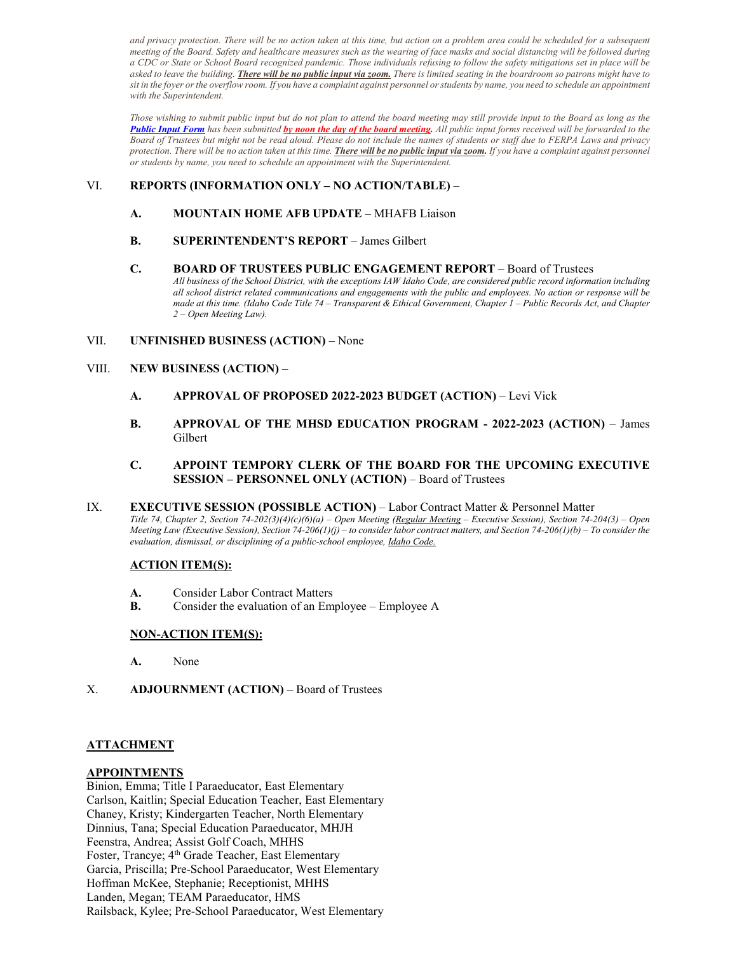and privacy protection. There will be no action taken at this time, but action on a problem area could be scheduled for a subsequent *meeting of the Board. Safety and healthcare measures such as the wearing of face masks and social distancing will be followed during a CDC or State or School Board recognized pandemic. Those individuals refusing to follow the safety mitigations set in place will be asked to leave the building. There will be no public input via zoom. There is limited seating in the boardroom so patrons might have to sit in the foyer or the overflow room. If you have a complaint against personnel or students by name, you need to schedule an appointment with the Superintendent.*

*Those wishing to submit public input but do not plan to attend the board meeting may still provide input to the Board as long as the [Public Input Form](https://www.mtnhomesd.org/public-input-form.html) has been submitted by noon the day of the board meeting. All public input forms received will be forwarded to the Board of Trustees but might not be read aloud. Please do not include the names of students or staff due to FERPA Laws and privacy protection. There will be no action taken at this time. There will be no public input via zoom. If you have a complaint against personnel or students by name, you need to schedule an appointment with the Superintendent.*

# VI. **REPORTS (INFORMATION ONLY – NO ACTION/TABLE)** –

- **A. MOUNTAIN HOME AFB UPDATE** MHAFB Liaison
- **B. SUPERINTENDENT'S REPORT** James Gilbert

#### **C. BOARD OF TRUSTEES PUBLIC ENGAGEMENT REPORT** – Board of Trustees

*All business of the School District, with the exceptions IAW Idaho Code, are considered public record information including all school district related communications and engagements with the public and employees. No action or response will be made at this time. (Idaho Code Title 74 – Transparent & Ethical Government, Chapter 1 – Public Records Act, and Chapter 2 – Open Meeting Law).*

# VII. **UNFINISHED BUSINESS (ACTION)** – None

# VIII. **NEW BUSINESS (ACTION)** –

- **A. APPROVAL OF PROPOSED 2022-2023 BUDGET (ACTION)** Levi Vick
- **B. APPROVAL OF THE MHSD EDUCATION PROGRAM - 2022-2023 (ACTION)** James Gilbert

### **C. APPOINT TEMPORY CLERK OF THE BOARD FOR THE UPCOMING EXECUTIVE SESSION – PERSONNEL ONLY (ACTION)** – Board of Trustees

IX. **EXECUTIVE SESSION (POSSIBLE ACTION)** – Labor Contract Matter & Personnel Matter *Title 74, Chapter 2, Section 74-202(3)(4)(c)(6)(a) – Open Meeting (Regular Meeting – Executive Session), Section 74-204(3) – Open Meeting Law (Executive Session), Section 74-206(1)(j) – to consider labor contract matters, and Section 74-206(1)(b) – To consider the evaluation, dismissal, or disciplining of a public-school employee, Idaho Code.*

# **ACTION ITEM(S):**

- **A.** Consider Labor Contract Matters
- **B.** Consider the evaluation of an Employee Employee A

# **NON-ACTION ITEM(S):**

- **A.** None
- X. **ADJOURNMENT (ACTION)** Board of Trustees

# **ATTACHMENT**

### **APPOINTMENTS**

Binion, Emma; Title I Paraeducator, East Elementary Carlson, Kaitlin; Special Education Teacher, East Elementary Chaney, Kristy; Kindergarten Teacher, North Elementary Dinnius, Tana; Special Education Paraeducator, MHJH Feenstra, Andrea; Assist Golf Coach, MHHS Foster, Trancye; 4<sup>th</sup> Grade Teacher, East Elementary Garcia, Priscilla; Pre-School Paraeducator, West Elementary Hoffman McKee, Stephanie; Receptionist, MHHS Landen, Megan; TEAM Paraeducator, HMS Railsback, Kylee; Pre-School Paraeducator, West Elementary